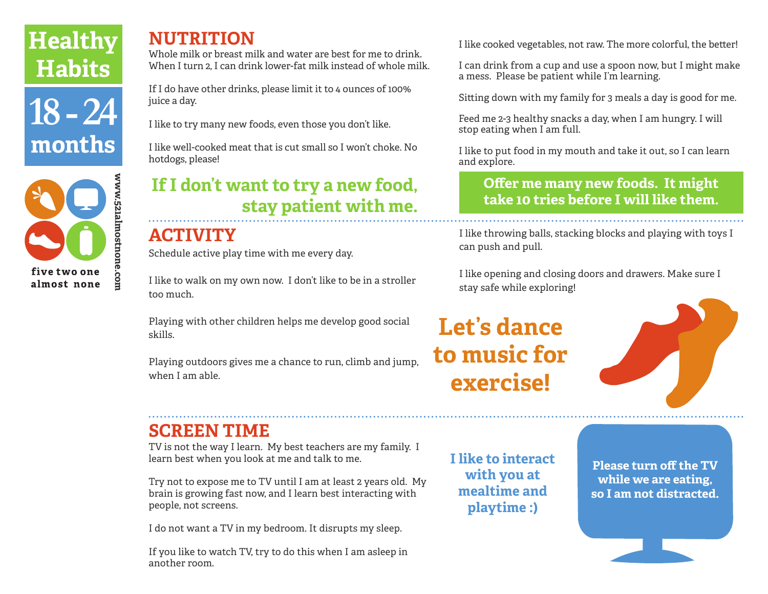# **Healthy Habits**





### **NUTRITION**

Whole milk or breast milk and water are best for me to drink. When I turn 2. I can drink lower-fat milk instead of whole milk.

If I do have other drinks, please limit it to 4 ounces of 100% juice a day.

I like to try many new foods, even those you don't like.

I like well-cooked meat that is cut small so I won't choke. No hotdogs, please!

## **If I don't want to try a new food, stay patient with me.**

## **ACTIVITY**

Schedule active play time with me every day.

I like to walk on my own now. I don't like to be in a stroller too much.

Playing with other children helps me develop good social skills.

Playing outdoors gives me a chance to run, climb and jump, when I am able.

## **SCREEN TIME**

TV is not the way I learn. My best teachers are my family. I learn best when you look at me and talk to me.

Try not to expose me to TV until I am at least 2 years old. My brain is growing fast now, and I learn best interacting with people, not screens.

I do not want a TV in my bedroom. It disrupts my sleep.

If you like to watch TV, try to do this when I am asleep in another room.

I like cooked vegetables, not raw. The more colorful, the better!

I can drink from a cup and use a spoon now, but I might make a mess. Please be patient while I'm learning.

Sitting down with my family for 3 meals a day is good for me.

Feed me 2-3 healthy snacks a day, when I am hungry. I will stop eating when I am full.

I like to put food in my mouth and take it out, so I can learn and explore.

#### **Offer me many new foods. It might take 10 tries before I will like them.**

I like throwing balls, stacking blocks and playing with toys I can push and pull.

I like opening and closing doors and drawers. Make sure I stay safe while exploring!

## **Let's dance to music for exercise!**



**I like to interact with you at mealtime and playtime :)** 

**Please turn off the TV while we are eating, so I am not distracted.**